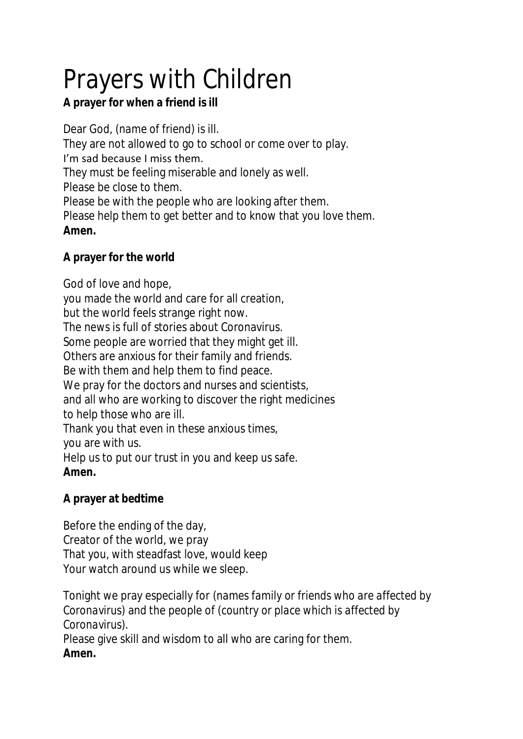## Prayers with Children

**A prayer for when a friend is ill**

Dear God, (*name of friend*) is ill. They are not allowed to go to school or come over to play. I'm sad because I miss them. They must be feeling miserable and lonely as well. Please be close to them. Please be with the people who are looking after them. Please help them to get better and to know that you love them. **Amen.**

**A prayer for the world**

God of love and hope, you made the world and care for all creation, but the world feels strange right now. The news is full of stories about Coronavirus. Some people are worried that they might get ill. Others are anxious for their family and friends. Be with them and help them to find peace. We pray for the doctors and nurses and scientists, and all who are working to discover the right medicines to help those who are ill. Thank you that even in these anxious times, you are with us. Help us to put our trust in you and keep us safe. **Amen.**

**A prayer at bedtime**

Before the ending of the day, Creator of the world, we pray That you, with steadfast love, would keep Your watch around us while we sleep.

Tonight we pray especially for *(names family or friends who are affected by Coronavirus)* and the people of (*country or place which is affected by Coronavirus)*. Please give skill and wisdom to all who are caring for them.

**Amen.**